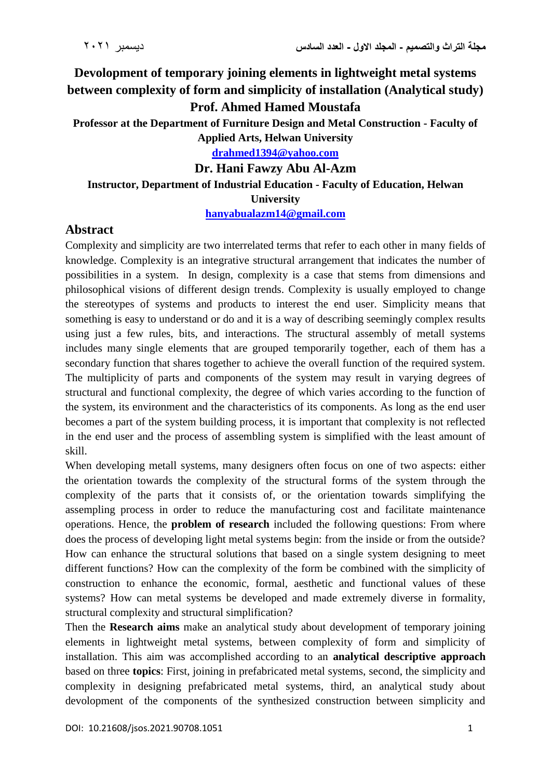## **Devolopment of temporary joining elements in lightweight metal systems between complexity of form and simplicity of installation (Analytical study) Prof. Ahmed Hamed Moustafa**

**Professor at the Department of Furniture Design and Metal Construction - Faculty of Applied Arts, Helwan University**

**[drahmed1394@yahoo.com](mailto:drahmed1394@yahoo.com)**

**Dr. Hani Fawzy Abu Al-Azm**

## **Instructor, Department of Industrial Education - Faculty of Education, Helwan University**

**[hanyabualazm14@gmail.com](mailto:hanyabualazm14@gmail.com)**

## **Abstract**

Complexity and simplicity are two interrelated terms that refer to each other in many fields of knowledge. Complexity is an integrative structural arrangement that indicates the number of possibilities in a system. In design, complexity is a case that stems from dimensions and philosophical visions of different design trends. Complexity is usually employed to change the stereotypes of systems and products to interest the end user. Simplicity means that something is easy to understand or do and it is a way of describing seemingly complex results using just a few rules, bits, and interactions. The structural assembly of metall systems includes many single elements that are grouped temporarily together, each of them has a secondary function that shares together to achieve the overall function of the required system. The multiplicity of parts and components of the system may result in varying degrees of structural and functional complexity, the degree of which varies according to the function of the system, its environment and the characteristics of its components. As long as the end user becomes a part of the system building process, it is important that complexity is not reflected in the end user and the process of assembling system is simplified with the least amount of skill.

When developing metall systems, many designers often focus on one of two aspects: either the orientation towards the complexity of the structural forms of the system through the complexity of the parts that it consists of, or the orientation towards simplifying the assempling process in order to reduce the manufacturing cost and facilitate maintenance operations. Hence, the **problem of research** included the following questions: From where does the process of developing light metal systems begin: from the inside or from the outside? How can enhance the structural solutions that based on a single system designing to meet different functions? How can the complexity of the form be combined with the simplicity of construction to enhance the economic, formal, aesthetic and functional values of these systems? How can metal systems be developed and made extremely diverse in formality, structural complexity and structural simplification?

Then the **Research aims** make an analytical study about development of temporary joining elements in lightweight metal systems, between complexity of form and simplicity of installation. This aim was accomplished according to an **analytical descriptive approach** based on three **topics**: First, joining in prefabricated metal systems, second, the simplicity and complexity in designing prefabricated metal systems, third, an analytical study about devolopment of the components of the synthesized construction between simplicity and